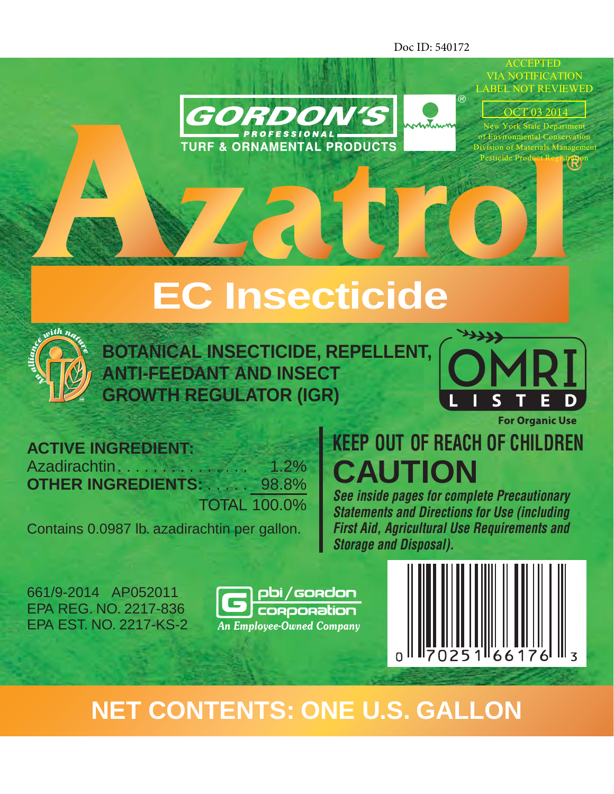Doc ID: 540172

 $(R)$ 



with a

**BOTANICAL INSECTICIDE, REPELLENT, ANTI-FEEDANT AND INSECT GROWTH REGULATOR (IGR)**

GORDON

**TURF & ORNAMENTAL PRODUCTS** 



**OCT 03 201** 

New York State Department of Environmental Conservation Division of Materials Management Pesticide Product Registration

**ACCEPTED** VIA NOTIFICATION LABEL NOT REVIEWED

**ACTIVE INGREDIENT:**

Azadirachtin. . . . . . . . . . . . . . . 1.2% **OTHER INGREDIENTS: . . . . . 98.8%** TOTAL 100.0%

Contains 0.0987 lb. azadirachtin per gallon.

# **KEEP OUT OF REACH OF CHILDREN CAUTION**

*See inside pages for complete Precautionary Statements and Directions for Use (including First Aid, Agricultural Use Requirements and Storage and Disposal).*

661/9-2014 AP052011 EPA REG. NO. 2217-836 EPA EST. NO. 2217-KS-2





# **NET CONTENTS: ONE U.S. GALLON**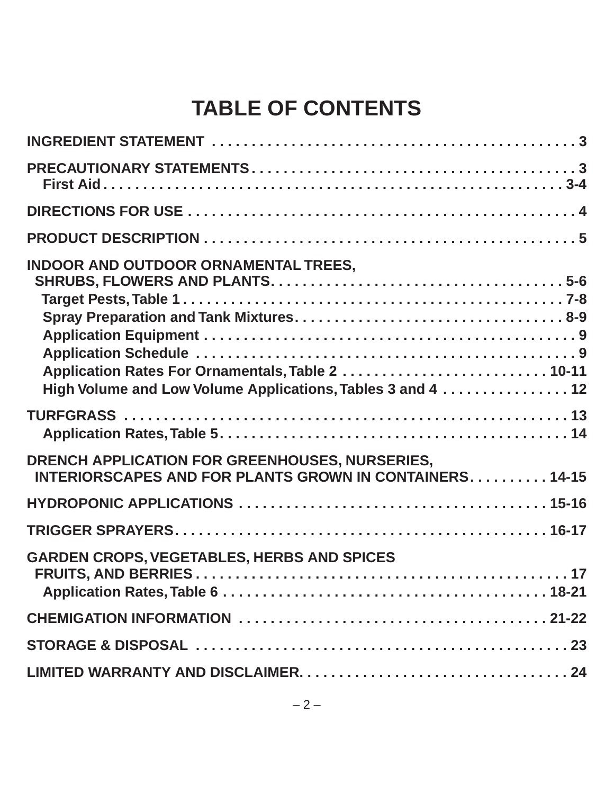# **TABLE OF CONTENTS**

| <b>INDOOR AND OUTDOOR ORNAMENTAL TREES,</b><br>High Volume and Low Volume Applications, Tables 3 and 4 12 |
|-----------------------------------------------------------------------------------------------------------|
|                                                                                                           |
| DRENCH APPLICATION FOR GREENHOUSES, NURSERIES,<br>INTERIORSCAPES AND FOR PLANTS GROWN IN CONTAINERS 14-15 |
|                                                                                                           |
|                                                                                                           |
| <b>GARDEN CROPS, VEGETABLES, HERBS AND SPICES</b>                                                         |
|                                                                                                           |
|                                                                                                           |
|                                                                                                           |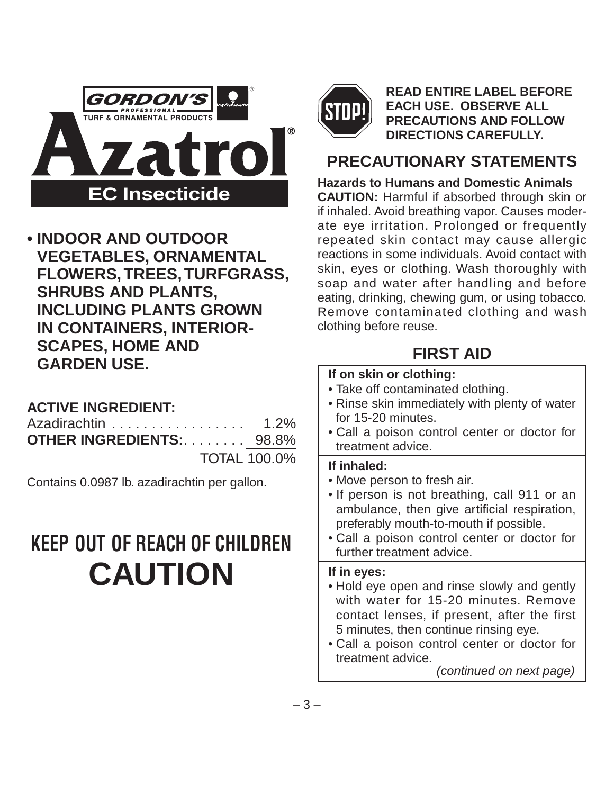

# **• INDOOR AND OUTDOOR VEGETABLES, ORNAMENTAL FLOWERS, TREES, TURFGRASS, SHRUBS AND PLANTS, INCLUDING PLANTS GROWN IN CONTAINERS, INTERIOR - SCAPES, HOME AND GARDEN USE.**

# **ACTIVE INGREDIENT:**

| Azadirachtin                    | $1.2\%$             |
|---------------------------------|---------------------|
| <b>OTHER INGREDIENTS: 98.8%</b> |                     |
|                                 | <b>TOTAL 100.0%</b> |

Contains 0.0987 lb. azadirachtin per gallon.

# **KEEP OUT OF REACH OF CHILDREN CAUTION**



**READ ENTIRE LABEL BEFORE EACH USE. OBSERVE ALL PRECAUTIONS AND FOLLOW DIRECTIONS CAREFULLY.**

# **PRECAUTIONARY STATEMENTS**

**Hazards to Humans and Domestic Animals CAUTION:** Harmful if absorbed through skin or if inhaled. Avoid breathing vapor. Causes moderate eye irritation. Prolonged or frequently repeated skin contact may cause allergic reactions in some individuals. Avoid contact with skin, eyes or clothing. Wash thoroughly with soap and water after handling and before eating, drinking, chewing gum, or using tobacco. Remove contaminated clothing and wash clothing before reuse.

# **FIRST AID**

# **If on skin or clothing:**

- Take off contaminated clothing.
- Rinse skin immediately with plenty of water for 15-20 minutes.
- Call a poison control center or doctor for treatment advice.

# **If inhaled:**

- Move person to fresh air.
- If person is not breathing, call 911 or an ambulance, then give artificial respiration, preferably mouth-to-mouth if possible.
- Call a poison control center or doctor for further treatment advice.

# **If in eyes:**

- Hold eye open and rinse slowly and gently with water for 15-20 minutes. Remove contact lenses, if present, after the first 5 minutes, then continue rinsing eye.
- Call a poison control center or doctor for treatment advice.

*(continued on next page)*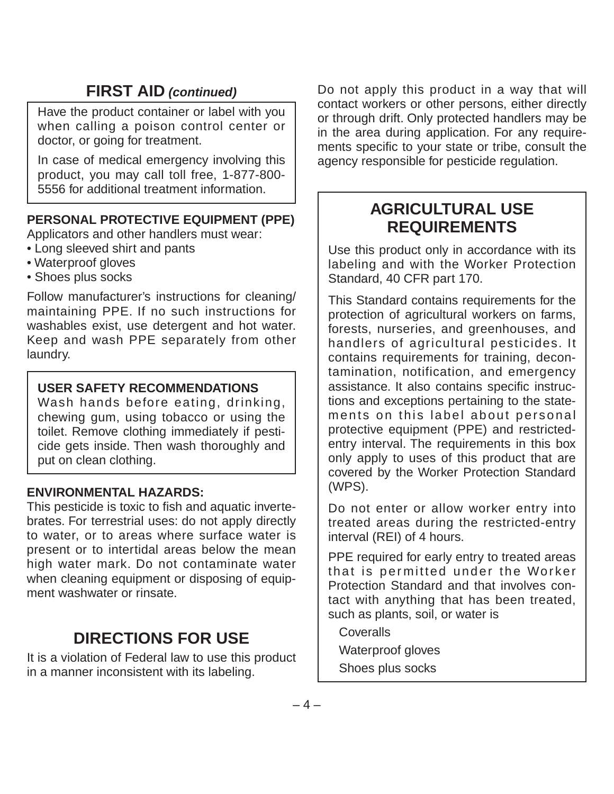# **FIRST AID** *(continued)*

Have the product container or label with you when calling a poison control center or doctor, or going for treatment.

In case of medical emergency involving this product, you may call toll free, 1-877-800- 5556 for additional treatment information.

# **PERSONAL PROTECTIVE EQUIPMENT (PPE)**

Applicators and other handlers must wear:

- Long sleeved shirt and pants
- Waterproof gloves
- Shoes plus socks

Follow manufacturer's instructions for cleaning/ maintaining PPE. If no such instructions for washables exist, use detergent and hot water. Keep and wash PPE separately from other laundry.

# **USER SAFETY RECOMMENDATIONS**

Wash hands before eating, drinking, chewing gum, using tobacco or using the toilet. Remove clothing immediately if pesticide gets inside. Then wash thoroughly and put on clean clothing.

# **ENVIRONMENTAL HAZARDS:**

This pesticide is toxic to fish and aquatic invertebrates. For terrestrial uses: do not apply directly to water, or to areas where surface water is present or to intertidal areas below the mean high water mark. Do not contaminate water when cleaning equipment or disposing of equipment washwater or rinsate.

# **DIRECTIONS FOR USE**

It is a violation of Federal law to use this product in a manner inconsistent with its labeling.

Do not apply this product in a way that will contact workers or other persons, either directly or through drift. Only protected handlers may be in the area during application. For any requirements specific to your state or tribe, consult the agency responsible for pesticide regulation.

# **AGRICULTURAL USE REQUIREMENTS**

Use this product only in accordance with its labeling and with the Worker Protection Standard, 40 CFR part 170.

This Standard contains requirements for the protection of agricultural workers on farms, forests, nurseries, and greenhouses, and handlers of agricultural pesticides. It contains requirements for training, decontamination, notification, and emergency assistance. It also contains specific instructions and exceptions pertaining to the statements on this label about personal protective equipment (PPE) and restrictedentry interval. The requirements in this box only apply to uses of this product that are covered by the Worker Protection Standard (WPS).

Do not enter or allow worker entry into treated areas during the restricted-entry interval (REI) of 4 hours.

PPE required for early entry to treated areas that is permitted under the Worker Protection Standard and that involves contact with anything that has been treated, such as plants, soil, or water is

**Coveralls** Waterproof gloves Shoes plus socks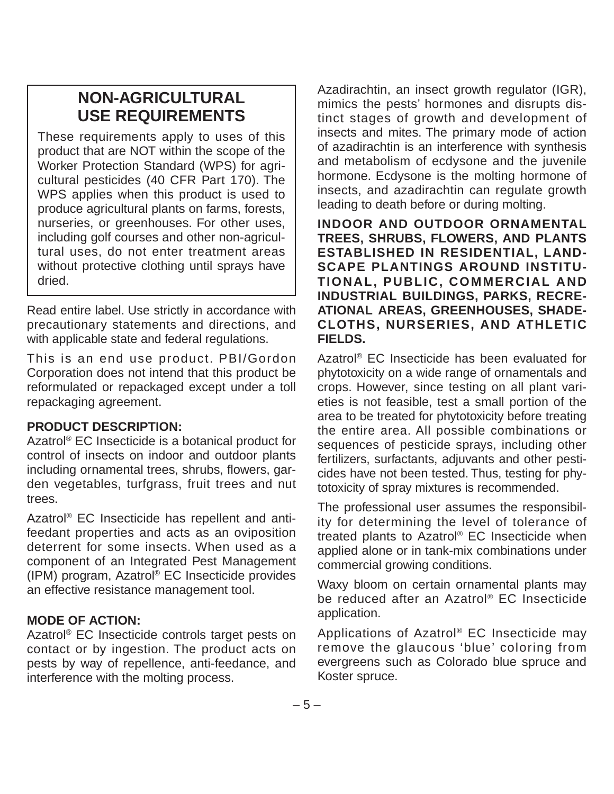# **NON-AGRICULTURAL USE REQUIREMENTS**

These requirements apply to uses of this product that are NOT within the scope of the Worker Protection Standard (WPS) for agricultural pesticides (40 CFR Part 170). The WPS applies when this product is used to produce agricultural plants on farms, forests, nurseries, or greenhouses. For other uses, including golf courses and other non-agricultural uses, do not enter treatment areas without protective clothing until sprays have dried.

Read entire label. Use strictly in accordance with precautionary statements and directions, and with applicable state and federal regulations.

This is an end use product. PBI/Gordon Corporation does not intend that this product be reformulated or repackaged except under a toll repackaging agreement.

# **PRODUCT DESCRIPTION:**

Azatrol® EC Insecticide is a botanical product for control of insects on indoor and outdoor plants including ornamental trees, shrubs, flowers, garden vegetables, turfgrass, fruit trees and nut trees.

Azatrol® EC Insecticide has repellent and antifeedant properties and acts as an oviposition deterrent for some insects. When used as a component of an Integrated Pest Management (IPM) program, Azatrol® EC Insecticide provides an effective resistance management tool.

# **MODE OF ACTION:**

Azatrol<sup>®</sup> EC Insecticide controls target pests on contact or by ingestion. The product acts on pests by way of repellence, anti-feedance, and interference with the molting process.

Azadirachtin, an insect growth regulator (IGR), mimics the pests' hormones and disrupts distinct stages of growth and development of insects and mites. The primary mode of action of azadirachtin is an interference with synthesis and metabolism of ecdysone and the juvenile hormone. Ecdysone is the molting hormone of insects, and azadirachtin can regulate growth leading to death before or during molting.

**INDOOR AND OUTDOOR ORNAMENTAL TREES, SHRUBS, FLOWERS, AND PLANTS ESTABLISHED IN RESIDENTIAL, LAND-SCAPE PLANTINGS AROUND INSTITU-TIONAL, PUBLIC, COMMERCIAL AND INDUSTRIAL BUILDINGS, PARKS, RECRE-ATIONAL AREAS, GREENHOUSES, SHADE-CLOTHS, NURSERIES, AND ATHLETIC FIELDS.**

Azatrol® EC Insecticide has been evaluated for phytotoxicity on a wide range of ornamentals and crops. However, since testing on all plant varieties is not feasible, test a small portion of the area to be treated for phytotoxicity before treating the entire area. All possible combinations or sequences of pesticide sprays, including other fertilizers, surfactants, adjuvants and other pesticides have not been tested. Thus, testing for phytotoxicity of spray mixtures is recommended.

The professional user assumes the responsibility for determining the level of tolerance of treated plants to Azatrol® EC Insecticide when applied alone or in tank-mix combinations under commercial growing conditions.

Waxy bloom on certain ornamental plants may be reduced after an Azatrol® EC Insecticide application.

Applications of Azatrol® EC Insecticide may remove the glaucous 'blue' coloring from evergreens such as Colorado blue spruce and Koster spruce.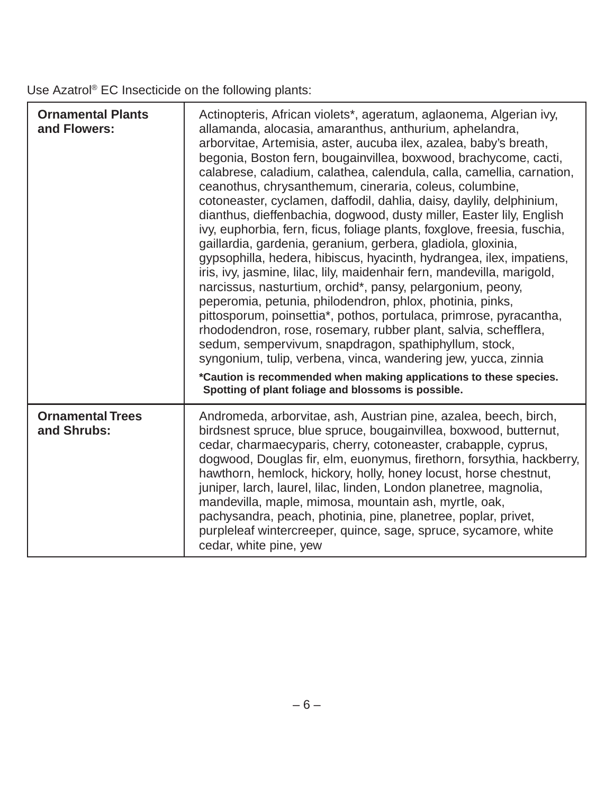Use Azatrol® EC Insecticide on the following plants:

| <b>Ornamental Plants</b><br>and Flowers: | Actinopteris, African violets*, ageratum, aglaonema, Algerian ivy,<br>allamanda, alocasia, amaranthus, anthurium, aphelandra,<br>arborvitae, Artemisia, aster, aucuba ilex, azalea, baby's breath,<br>begonia, Boston fern, bougainvillea, boxwood, brachycome, cacti,<br>calabrese, caladium, calathea, calendula, calla, camellia, carnation,<br>ceanothus, chrysanthemum, cineraria, coleus, columbine,<br>cotoneaster, cyclamen, daffodil, dahlia, daisy, daylily, delphinium,<br>dianthus, dieffenbachia, dogwood, dusty miller, Easter lily, English<br>ivy, euphorbia, fern, ficus, foliage plants, foxglove, freesia, fuschia,<br>gaillardia, gardenia, geranium, gerbera, gladiola, gloxinia,<br>gypsophilla, hedera, hibiscus, hyacinth, hydrangea, ilex, impatiens,<br>iris, ivy, jasmine, lilac, lily, maidenhair fern, mandevilla, marigold,<br>narcissus, nasturtium, orchid*, pansy, pelargonium, peony,<br>peperomia, petunia, philodendron, phlox, photinia, pinks,<br>pittosporum, poinsettia*, pothos, portulaca, primrose, pyracantha,<br>rhododendron, rose, rosemary, rubber plant, salvia, schefflera,<br>sedum, sempervivum, snapdragon, spathiphyllum, stock,<br>syngonium, tulip, verbena, vinca, wandering jew, yucca, zinnia<br>*Caution is recommended when making applications to these species.<br>Spotting of plant foliage and blossoms is possible. |
|------------------------------------------|---------------------------------------------------------------------------------------------------------------------------------------------------------------------------------------------------------------------------------------------------------------------------------------------------------------------------------------------------------------------------------------------------------------------------------------------------------------------------------------------------------------------------------------------------------------------------------------------------------------------------------------------------------------------------------------------------------------------------------------------------------------------------------------------------------------------------------------------------------------------------------------------------------------------------------------------------------------------------------------------------------------------------------------------------------------------------------------------------------------------------------------------------------------------------------------------------------------------------------------------------------------------------------------------------------------------------------------------------------------------------------------|
| <b>Ornamental Trees</b><br>and Shrubs:   | Andromeda, arborvitae, ash, Austrian pine, azalea, beech, birch,<br>birdsnest spruce, blue spruce, bougainvillea, boxwood, butternut,<br>cedar, charmaecyparis, cherry, cotoneaster, crabapple, cyprus,<br>dogwood, Douglas fir, elm, euonymus, firethorn, forsythia, hackberry,<br>hawthorn, hemlock, hickory, holly, honey locust, horse chestnut,<br>juniper, larch, laurel, lilac, linden, London planetree, magnolia,<br>mandevilla, maple, mimosa, mountain ash, myrtle, oak,<br>pachysandra, peach, photinia, pine, planetree, poplar, privet,<br>purpleleaf wintercreeper, quince, sage, spruce, sycamore, white<br>cedar, white pine, yew                                                                                                                                                                                                                                                                                                                                                                                                                                                                                                                                                                                                                                                                                                                                    |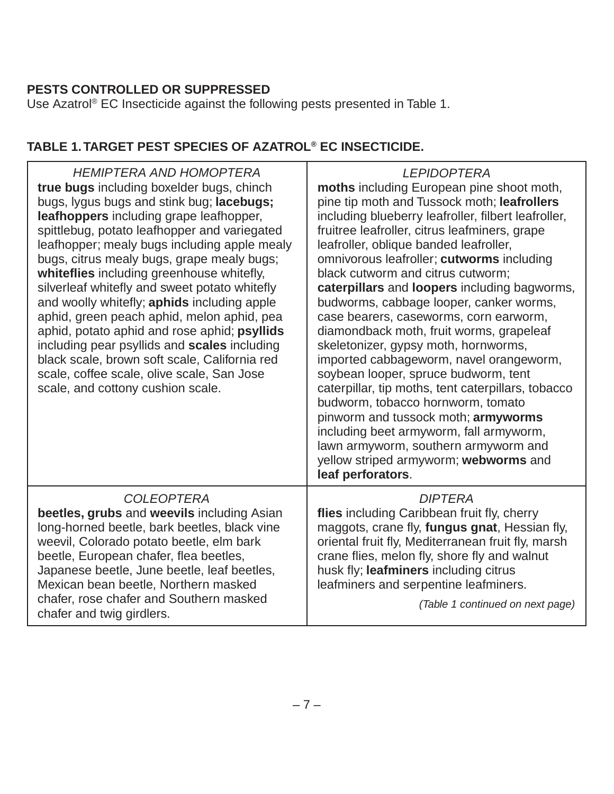# **PESTS CONTROLLED OR SUPPRESSED**

Use Azatrol® EC Insecticide against the following pests presented in Table 1.

# **TABLE 1. TARGET PEST SPECIES OF AZATROL® EC INSECTICIDE.**

| <b>HEMIPTERA AND HOMOPTERA</b><br>true bugs including boxelder bugs, chinch<br>bugs, lygus bugs and stink bug; lacebugs;<br>leafhoppers including grape leafhopper,<br>spittlebug, potato leafhopper and variegated<br>leafhopper; mealy bugs including apple mealy<br>bugs, citrus mealy bugs, grape mealy bugs;<br>whiteflies including greenhouse whitefly,<br>silverleaf whitefly and sweet potato whitefly<br>and woolly whitefly; aphids including apple<br>aphid, green peach aphid, melon aphid, pea<br>aphid, potato aphid and rose aphid; psyllids<br>including pear psyllids and scales including<br>black scale, brown soft scale, California red<br>scale, coffee scale, olive scale, San Jose<br>scale, and cottony cushion scale. | <b>LEPIDOPTERA</b><br>moths including European pine shoot moth,<br>pine tip moth and Tussock moth; leafrollers<br>including blueberry leafroller, filbert leafroller,<br>fruitree leafroller, citrus leafminers, grape<br>leafroller, oblique banded leafroller,<br>omnivorous leafroller; cutworms including<br>black cutworm and citrus cutworm;<br>caterpillars and loopers including bagworms,<br>budworms, cabbage looper, canker worms,<br>case bearers, caseworms, corn earworm,<br>diamondback moth, fruit worms, grapeleaf<br>skeletonizer, gypsy moth, hornworms,<br>imported cabbageworm, navel orangeworm,<br>soybean looper, spruce budworm, tent<br>caterpillar, tip moths, tent caterpillars, tobacco<br>budworm, tobacco hornworm, tomato<br>pinworm and tussock moth; armyworms<br>including beet armyworm, fall armyworm, |
|--------------------------------------------------------------------------------------------------------------------------------------------------------------------------------------------------------------------------------------------------------------------------------------------------------------------------------------------------------------------------------------------------------------------------------------------------------------------------------------------------------------------------------------------------------------------------------------------------------------------------------------------------------------------------------------------------------------------------------------------------|---------------------------------------------------------------------------------------------------------------------------------------------------------------------------------------------------------------------------------------------------------------------------------------------------------------------------------------------------------------------------------------------------------------------------------------------------------------------------------------------------------------------------------------------------------------------------------------------------------------------------------------------------------------------------------------------------------------------------------------------------------------------------------------------------------------------------------------------|
|                                                                                                                                                                                                                                                                                                                                                                                                                                                                                                                                                                                                                                                                                                                                                  | lawn armyworm, southern armyworm and<br>yellow striped armyworm; webworms and<br>leaf perforators.                                                                                                                                                                                                                                                                                                                                                                                                                                                                                                                                                                                                                                                                                                                                          |
| <b>COLEOPTERA</b><br>beetles, grubs and weevils including Asian<br>long-horned beetle, bark beetles, black vine<br>weevil, Colorado potato beetle, elm bark<br>beetle, European chafer, flea beetles,<br>Japanese beetle, June beetle, leaf beetles,<br>Mexican bean beetle, Northern masked<br>chafer, rose chafer and Southern masked<br>chafer and twig girdlers.                                                                                                                                                                                                                                                                                                                                                                             | <b>DIPTERA</b><br>flies including Caribbean fruit fly, cherry<br>maggots, crane fly, fungus gnat, Hessian fly,<br>oriental fruit fly, Mediterranean fruit fly, marsh<br>crane flies, melon fly, shore fly and walnut<br>husk fly; leafminers including citrus<br>leafminers and serpentine leafminers.<br>(Table 1 continued on next page)                                                                                                                                                                                                                                                                                                                                                                                                                                                                                                  |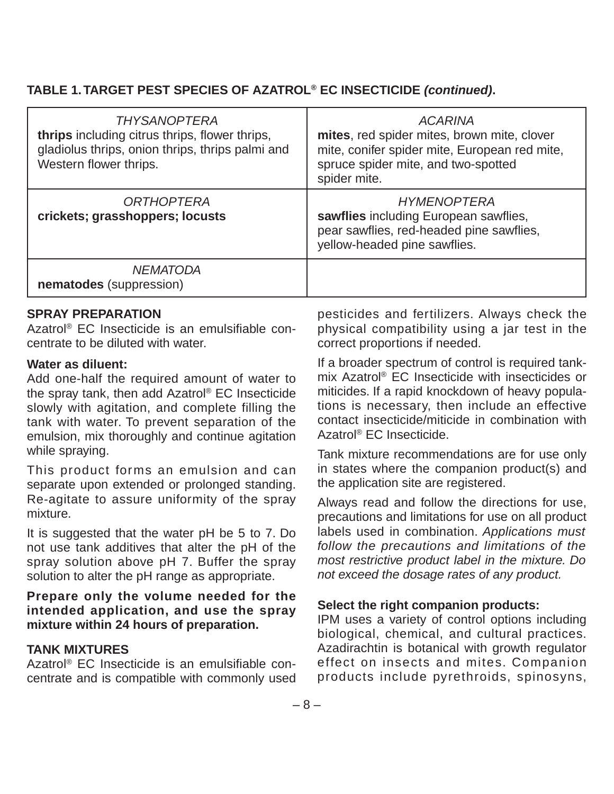# **TABLE 1. TARGET PEST SPECIES OF AZATROL® EC INSECTICIDE** *(continued)***.**

| <b>THYSANOPTERA</b><br>thrips including citrus thrips, flower thrips,<br>gladiolus thrips, onion thrips, thrips palmi and<br>Western flower thrips. | <b>ACARINA</b><br>mites, red spider mites, brown mite, clover<br>mite, conifer spider mite, European red mite,<br>spruce spider mite, and two-spotted<br>spider mite. |
|-----------------------------------------------------------------------------------------------------------------------------------------------------|-----------------------------------------------------------------------------------------------------------------------------------------------------------------------|
| <i><b>ORTHOPTERA</b></i><br>crickets; grasshoppers; locusts                                                                                         | <b>HYMENOPTERA</b><br>sawflies including European sawflies,<br>pear sawflies, red-headed pine sawflies,<br>yellow-headed pine sawflies.                               |
| <b>NEMATODA</b><br><b>nematodes</b> (suppression)                                                                                                   |                                                                                                                                                                       |

#### **SPRAY PREPARATION**

Azatrol® EC Insecticide is an emulsifiable concentrate to be diluted with water.

#### **Water as diluent:**

Add one-half the required amount of water to the spray tank, then add Azatrol® EC Insecticide slowly with agitation, and complete filling the tank with water. To prevent separation of the emulsion, mix thoroughly and continue agitation while spraying.

This product forms an emulsion and can separate upon extended or prolonged standing. Re-agitate to assure uniformity of the spray mixture.

It is suggested that the water pH be 5 to 7. Do not use tank additives that alter the pH of the spray solution above pH 7. Buffer the spray solution to alter the pH range as appropriate.

#### **Prepare only the volume needed for the intended application, and use the spray mixture within 24 hours of preparation.**

#### **TANK MIXTURES**

Azatrol® EC Insecticide is an emulsifiable concentrate and is compatible with commonly used pesticides and fertilizers. Always check the physical compatibility using a jar test in the correct proportions if needed.

If a broader spectrum of control is required tankmix Azatrol® EC Insecticide with insecticides or miticides. If a rapid knockdown of heavy populations is necessary, then include an effective contact insecticide/miticide in combination with Azatrol® EC Insecticide.

Tank mixture recommendations are for use only in states where the companion product(s) and the application site are registered.

Always read and follow the directions for use, precautions and limitations for use on all product labels used in combination. *Applications must follow the precautions and limitations of the most restrictive product label in the mixture. Do not exceed the dosage rates of any product.* 

#### **Select the right companion products:**

IPM uses a variety of control options including biological, chemical, and cultural practices. Azadirachtin is botanical with growth regulator effect on insects and mites. Companion products include pyrethroids, spinosyns,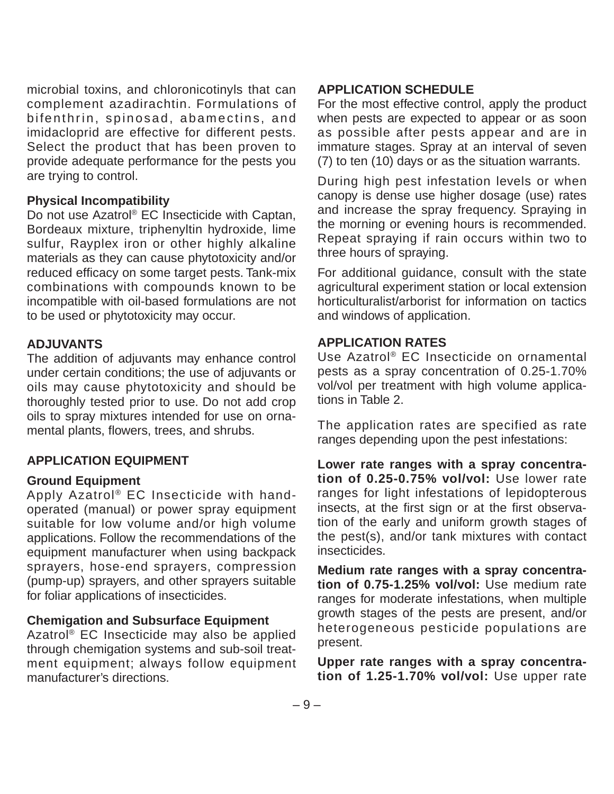microbial toxins, and chloronicotinyls that can complement azadirachtin. Formulations of bifenthrin, spinosad, abamectins, and imidacloprid are effective for different pests. Select the product that has been proven to provide adequate performance for the pests you are trying to control.

#### **Physical Incompatibility**

Do not use Azatrol® EC Insecticide with Captan, Bordeaux mixture, triphenyltin hydroxide, lime sulfur, Rayplex iron or other highly alkaline materials as they can cause phytotoxicity and/or reduced efficacy on some target pests. Tank-mix combinations with compounds known to be incompatible with oil-based formulations are not to be used or phytotoxicity may occur.

#### **ADJUVANTS**

The addition of adjuvants may enhance control under certain conditions; the use of adjuvants or oils may cause phytotoxicity and should be thoroughly tested prior to use. Do not add crop oils to spray mixtures intended for use on ornamental plants, flowers, trees, and shrubs.

#### **APPLICATION EQUIPMENT**

#### **Ground Equipment**

Apply Azatrol<sup>®</sup> EC Insecticide with handoperated (manual) or power spray equipment suitable for low volume and/or high volume applications. Follow the recommendations of the equipment manufacturer when using backpack sprayers, hose-end sprayers, compression (pump-up) sprayers, and other sprayers suitable for foliar applications of insecticides.

#### **Chemigation and Subsurface Equipment**

Azatrol<sup>®</sup> EC Insecticide may also be applied through chemigation systems and sub-soil treatment equipment; always follow equipment manufacturer's directions.

#### **APPLICATION SCHEDULE**

For the most effective control, apply the product when pests are expected to appear or as soon as possible after pests appear and are in immature stages. Spray at an interval of seven (7) to ten (10) days or as the situation warrants.

During high pest infestation levels or when canopy is dense use higher dosage (use) rates and increase the spray frequency. Spraying in the morning or evening hours is recommended. Repeat spraying if rain occurs within two to three hours of spraying.

For additional guidance, consult with the state agricultural experiment station or local extension horticulturalist/arborist for information on tactics and windows of application.

#### **APPLICATION RATES**

Use Azatrol® EC Insecticide on ornamental pests as a spray concentration of 0.25-1.70% vol/vol per treatment with high volume applications in Table 2.

The application rates are specified as rate ranges depending upon the pest infestations:

**Lower rate ranges with a spray concentration of 0.25-0.75% vol/vol:** Use lower rate ranges for light infestations of lepidopterous insects, at the first sign or at the first observation of the early and uniform growth stages of the pest(s), and/or tank mixtures with contact insecticides.

**Medium rate ranges with a spray concentration of 0.75-1.25% vol/vol:** Use medium rate ranges for moderate infestations, when multiple growth stages of the pests are present, and/or heterogeneous pesticide populations are present.

**Upper rate ranges with a spray concentration of 1.25-1.70% vol/vol:** Use upper rate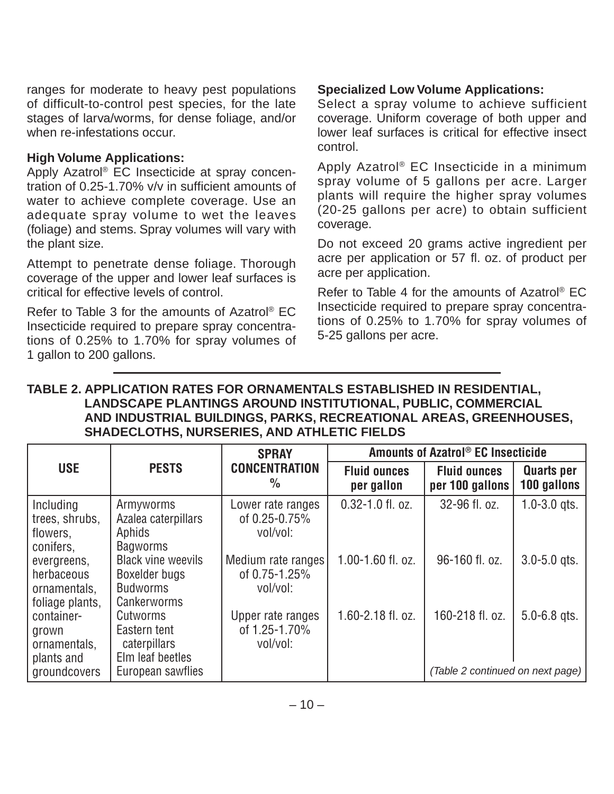ranges for moderate to heavy pest populations of difficult-to-control pest species, for the late stages of larva/worms, for dense foliage, and/or when re-infestations occur.

### **High Volume Applications:**

Apply Azatrol® EC Insecticide at spray concentration of 0.25-1.70% v/v in sufficient amounts of water to achieve complete coverage. Use an adequate spray volume to wet the leaves (foliage) and stems. Spray volumes will vary with the plant size.

Attempt to penetrate dense foliage. Thorough coverage of the upper and lower leaf surfaces is critical for effective levels of control.

Refer to Table 3 for the amounts of Azatrol® EC Insecticide required to prepare spray concentrations of 0.25% to 1.70% for spray volumes of 1 gallon to 200 gallons.

## **Specialized Low Volume Applications:**

Select a spray volume to achieve sufficient coverage. Uniform coverage of both upper and lower leaf surfaces is critical for effective insect control.

Apply Azatrol® EC Insecticide in a minimum spray volume of 5 gallons per acre. Larger plants will require the higher spray volumes (20-25 gallons per acre) to obtain sufficient coverage.

Do not exceed 20 grams active ingredient per acre per application or 57 fl. oz. of product per acre per application.

Refer to Table 4 for the amounts of Azatrol® EC Insecticide required to prepare spray concentrations of 0.25% to 1.70% for spray volumes of 5-25 gallons per acre.

### **TABLE 2. APPLICATION RATES FOR ORNAMENTALS ESTABLISHED IN RESIDENTIAL, LANDSCAPE PLANTINGS AROUND INSTITUTIONAL, PUBLIC, COMMERCIAL AND INDUSTRIAL BUILDINGS, PARKS, RECREATIONAL AREAS, GREENHOUSES, SHADECLOTHS, NURSERIES, AND ATHLETIC FIELDS**

|                                                                   |                                                                                   | <b>SPRAY</b>                                    |                                   | Amounts of Azatrol® EC Insecticide                  |                                  |
|-------------------------------------------------------------------|-----------------------------------------------------------------------------------|-------------------------------------------------|-----------------------------------|-----------------------------------------------------|----------------------------------|
| <b>USE</b>                                                        | <b>PESTS</b>                                                                      | <b>CONCENTRATION</b><br>$\frac{0}{0}$           | <b>Fluid ounces</b><br>per gallon | <b>Fluid ounces</b><br>per 100 gallons              | <b>Quarts per</b><br>100 gallons |
| Including<br>trees, shrubs,<br>flowers,<br>conifers,              | Armyworms<br>Azalea caterpillars<br>Aphids<br><b>Bagworms</b>                     | Lower rate ranges<br>of 0.25-0.75%<br>vol/vol:  | $0.32 - 1.0$ fl. oz.              | 32-96 fl. oz.                                       | $1.0 - 3.0$ gts.                 |
| evergreens,<br>herbaceous<br>ornamentals,<br>foliage plants,      | <b>Black vine weevils</b><br>Boxelder bugs<br><b>Budworms</b><br>Cankerworms      | Medium rate ranges<br>of 0.75-1.25%<br>vol/vol: | 1.00-1.60 fl. oz.                 | 96-160 fl. oz.                                      | $3.0 - 5.0$ gts.                 |
| container-<br>grown<br>ornamentals,<br>plants and<br>groundcovers | Cutworms<br>Eastern tent<br>caterpillars<br>Elm leaf beetles<br>European sawflies | Upper rate ranges<br>of 1.25-1.70%<br>vol/vol:  | 1.60-2.18 fl. oz.                 | 160-218 fl. oz.<br>(Table 2 continued on next page) | $5.0 - 6.8$ gts.                 |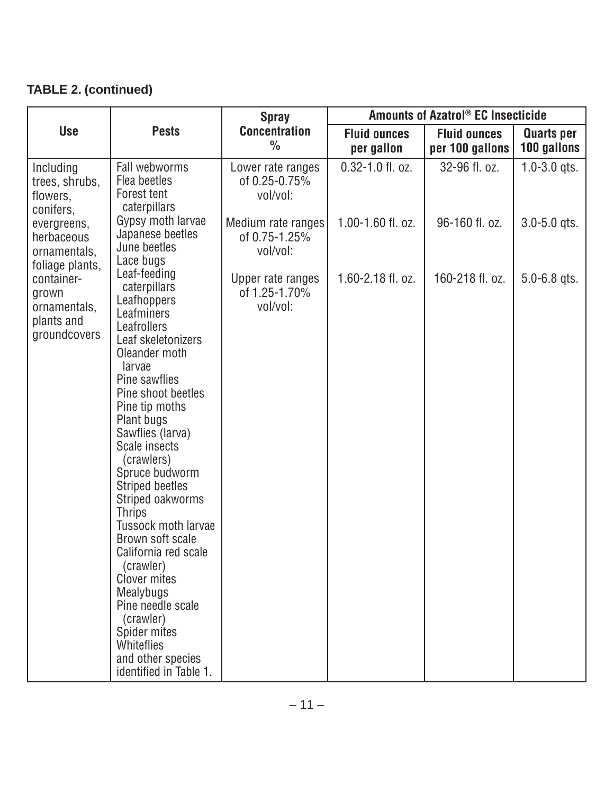# **TABLE 2. (continued)**

|                                                                   |                                                                                                                                                                                                                                                                                                                                                                                                                                                                                                                                                                                | Amounts of Azatrol® EC Insecticide<br><b>Spray</b> |                                   |                                        |                                  |
|-------------------------------------------------------------------|--------------------------------------------------------------------------------------------------------------------------------------------------------------------------------------------------------------------------------------------------------------------------------------------------------------------------------------------------------------------------------------------------------------------------------------------------------------------------------------------------------------------------------------------------------------------------------|----------------------------------------------------|-----------------------------------|----------------------------------------|----------------------------------|
| <b>Use</b>                                                        | <b>Pests</b>                                                                                                                                                                                                                                                                                                                                                                                                                                                                                                                                                                   | <b>Concentration</b><br>$\frac{0}{0}$              | <b>Fluid ounces</b><br>per gallon | <b>Fluid ounces</b><br>per 100 gallons | <b>Quarts per</b><br>100 gallons |
| Including<br>trees, shrubs,<br>flowers,<br>conifers,              | Fall webworms<br>Flea beetles<br>Forest tent<br>caterpillars                                                                                                                                                                                                                                                                                                                                                                                                                                                                                                                   | Lower rate ranges<br>of 0.25-0.75%<br>vol/vol:     | 0.32-1.0 fl. oz.                  | 32-96 fl. oz.                          | $1.0 - 3.0$ qts.                 |
| evergreens,<br>herbaceous<br>ornamentals,<br>foliage plants,      | Gypsy moth larvae<br>Japanese beetles<br>June beetles<br>Lace bugs                                                                                                                                                                                                                                                                                                                                                                                                                                                                                                             | Medium rate ranges<br>of 0.75-1.25%<br>vol/vol:    | 1.00-1.60 fl. oz.                 | 96-160 fl. oz.                         | $3.0 - 5.0$ qts.                 |
| container-<br>grown<br>ornamentals,<br>plants and<br>groundcovers | Leaf-feeding<br>caterpillars<br>Leafhoppers<br>Leafminers<br>Leafrollers<br>Leaf skeletonizers<br>Oleander moth<br>larvae<br>Pine sawflies<br>Pine shoot beetles<br>Pine tip moths<br>Plant bugs<br>Sawflies (larva)<br>Scale insects<br>(crawlers)<br>Spruce budworm<br><b>Striped beetles</b><br>Striped oakworms<br><b>Thrips</b><br>Tussock moth larvae<br>Brown soft scale<br>California red scale<br>(crawler)<br><b>Clover mites</b><br><b>Mealybugs</b><br>Pine needle scale<br>(crawler)<br>Spider mites<br>Whiteflies<br>and other species<br>identified in Table 1. | Upper rate ranges<br>of 1.25-1.70%<br>vol/vol:     | 1.60-2.18 fl. oz.                 | 160-218 fl. oz.                        | $5.0 - 6.8$ qts.                 |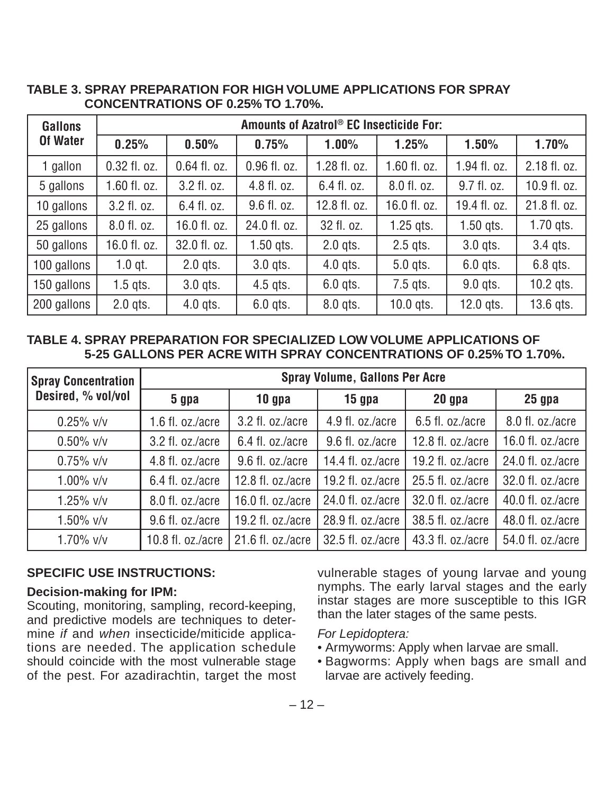| Gallons         | Amounts of Azatrol® EC Insecticide For: |                |              |              |              |              |              |
|-----------------|-----------------------------------------|----------------|--------------|--------------|--------------|--------------|--------------|
| <b>Of Water</b> | 0.25%                                   | 0.50%          | 0.75%        | 1.00%        | 1.25%        | 1.50%        | 1.70%        |
| 1 gallon        | 0.32 fl. oz.                            | $0.64$ fl. oz. | 0.96 fl. oz. | 1.28 fl. oz. | 1.60 fl. oz. | 1.94 fl. oz. | 2.18 fl. oz. |
| 5 gallons       | 1.60 fl. oz.                            | 3.2 fl. oz.    | 4.8 fl. oz.  | 6.4 fl. oz.  | 8.0 fl. oz.  | 9.7 fl. oz.  | 10.9 fl. oz. |
| 10 gallons      | 3.2 fl. oz.                             | 6.4 fl. oz.    | 9.6 fl. oz.  | 12.8 fl. oz. | 16.0 fl. oz. | 19.4 fl. oz. | 21.8 fl. oz. |
| 25 gallons      | 8.0 fl. oz.                             | 16.0 fl. oz.   | 24.0 fl. oz. | 32 fl. oz.   | $1.25$ qts.  | $1.50$ qts.  | $1.70$ qts.  |
| 50 gallons      | 16.0 fl. oz.                            | 32.0 fl. oz.   | $1.50$ qts.  | $2.0$ qts.   | $2.5$ qts.   | $3.0$ qts.   | 3.4 gts.     |
| 100 gallons     | $1.0$ qt.                               | $2.0$ qts.     | $3.0$ qts.   | $4.0$ qts.   | 5.0 gts.     | $6.0$ qts.   | $6.8$ qts.   |
| 150 gallons     | $1.5$ qts.                              | $3.0$ qts.     | $4.5$ qts.   | $6.0$ qts.   | $7.5$ qts.   | 9.0 gts.     | 10.2 gts.    |
| 200 gallons     | $2.0$ qts.                              | $4.0$ qts.     | $6.0$ qts.   | 8.0 gts.     | $10.0$ qts.  | $12.0$ gts.  | 13.6 gts.    |

**TABLE 3. SPRAY PREPARATION FOR HIGH VOLUME APPLICATIONS FOR SPRAY CONCENTRATIONS OF 0.25% TO 1.70%.**

## **TABLE 4. SPRAY PREPARATION FOR SPECIALIZED LOW VOLUME APPLICATIONS OF 5-25 GALLONS PER ACRE WITH SPRAY CONCENTRATIONS OF 0.25% TO 1.70%.**

| <b>Spray Concentration</b> | <b>Spray Volume, Gallons Per Acre</b> |                   |                   |                   |                   |  |
|----------------------------|---------------------------------------|-------------------|-------------------|-------------------|-------------------|--|
| Desired, % vol/vol         | 5 gpa                                 | $10$ gpa          | $15$ gpa          | 20 gpa            | 25 gpa            |  |
| $0.25\%$ v/v               | 1.6 fl. oz./acre                      | 3.2 fl. oz./acre  | 4.9 fl. oz./acre  | 6.5 fl. oz./acre  | 8.0 fl. oz./acre  |  |
| $0.50\%$ v/v               | 3.2 fl. oz./acre                      | 6.4 fl. oz./acre  | 9.6 fl. oz./acre  | 12.8 fl. oz./acre | 16.0 fl. oz./acre |  |
| $0.75\%$ v/v               | 4.8 fl. oz./acre                      | 9.6 fl. oz./acre  | 14.4 fl. oz./acre | 19.2 fl. oz./acre | 24.0 fl. oz./acre |  |
| $1.00\%$ v/v               | 6.4 fl. oz./acre                      | 12.8 fl. oz./acre | 19.2 fl. oz./acre | 25.5 fl. oz./acre | 32.0 fl. oz./acre |  |
| $1.25\%$ v/v               | 8.0 fl. oz./acre                      | 16.0 fl. oz./acre | 24.0 fl. oz./acre | 32.0 fl. oz./acre | 40.0 fl. oz./acre |  |
| $1.50\%$ v/v               | 9.6 fl. oz./acre                      | 19.2 fl. oz./acre | 28.9 fl. oz./acre | 38.5 fl. oz./acre | 48.0 fl. oz./acre |  |
| $1.70\%$ v/v               | 10.8 fl. oz./acre                     | 21.6 fl. oz./acre | 32.5 fl. oz./acre | 43.3 fl. oz./acre | 54.0 fl. oz./acre |  |

# **SPECIFIC USE INSTRUCTIONS:**

#### **Decision-making for IPM:**

Scouting, monitoring, sampling, record-keeping, and predictive models are techniques to determine *if* and *when* insecticide/miticide applications are needed. The application schedule should coincide with the most vulnerable stage of the pest. For azadirachtin, target the most vulnerable stages of young larvae and young nymphs. The early larval stages and the early instar stages are more susceptible to this IGR than the later stages of the same pests.

#### *For Lepidoptera:*

- Armyworms: Apply when larvae are small.
- Bagworms: Apply when bags are small and larvae are actively feeding.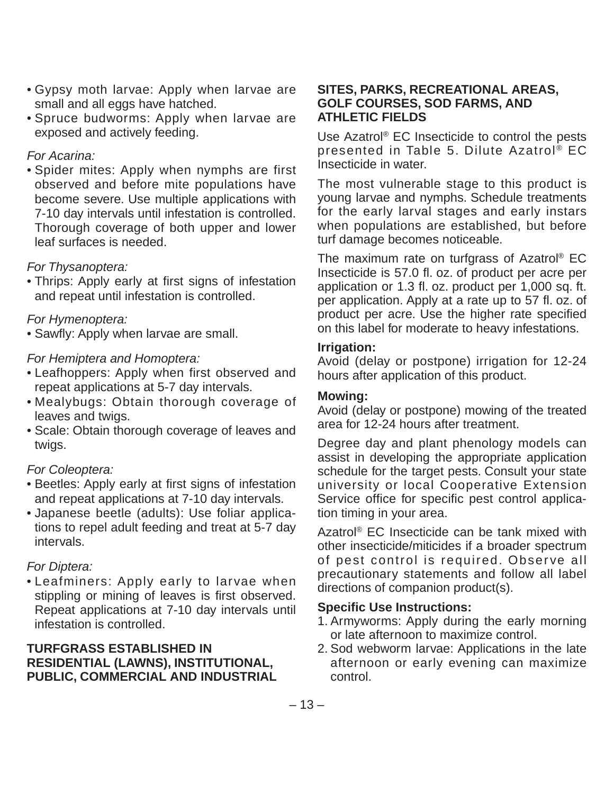- Gypsy moth larvae: Apply when larvae are small and all eggs have hatched.
- Spruce budworms: Apply when larvae are exposed and actively feeding.

## *For Acarina:*

• Spider mites: Apply when nymphs are first observed and before mite populations have become severe. Use multiple applications with 7-10 day intervals until infestation is controlled. Thorough coverage of both upper and lower leaf surfaces is needed.

#### *For Thysanoptera:*

• Thrips: Apply early at first signs of infestation and repeat until infestation is controlled.

# *For Hymenoptera:*

• Sawfly: Apply when larvae are small.

## *For Hemiptera and Homoptera:*

- Leafhoppers: Apply when first observed and repeat applications at 5-7 day intervals.
- Mealybugs: Obtain thorough coverage of leaves and twigs.
- Scale: Obtain thorough coverage of leaves and twigs.

#### *For Coleoptera:*

- Beetles: Apply early at first signs of infestation and repeat applications at 7-10 day intervals.
- Japanese beetle (adults): Use foliar applications to repel adult feeding and treat at 5-7 day intervals.

#### *For Diptera:*

• Leafminers: Apply early to larvae when stippling or mining of leaves is first observed. Repeat applications at 7-10 day intervals until infestation is controlled.

#### **TURFGRASS ESTABLISHED IN RESIDENTIAL (LAWNS), INSTITUTIONAL, PUBLIC, COMMERCIAL AND INDUSTRIAL**

#### **SITES, PARKS, RECREATIONAL AREAS, GOLF COURSES, SOD FARMS, AND ATHLETIC FIELDS**

Use Azatrol® EC Insecticide to control the pests presented in Table 5. Dilute Azatrol<sup>®</sup> EC Insecticide in water.

The most vulnerable stage to this product is young larvae and nymphs. Schedule treatments for the early larval stages and early instars when populations are established, but before turf damage becomes noticeable.

The maximum rate on turfgrass of Azatrol® EC Insecticide is 57.0 fl. oz. of product per acre per application or 1.3 fl. oz. product per 1,000 sq. ft. per application. Apply at a rate up to 57 fl. oz. of product per acre. Use the higher rate specified on this label for moderate to heavy infestations.

#### **Irrigation:**

Avoid (delay or postpone) irrigation for 12-24 hours after application of this product.

#### **Mowing:**

Avoid (delay or postpone) mowing of the treated area for 12-24 hours after treatment.

Degree day and plant phenology models can assist in developing the appropriate application schedule for the target pests. Consult your state university or local Cooperative Extension Service office for specific pest control application timing in your area.

Azatrol® EC Insecticide can be tank mixed with other insecticide/miticides if a broader spectrum of pest control is required. Observe all precautionary statements and follow all label directions of companion product(s).

#### **Specific Use Instructions:**

- 1. Armyworms: Apply during the early morning or late afternoon to maximize control.
- 2. Sod webworm larvae: Applications in the late afternoon or early evening can maximize control.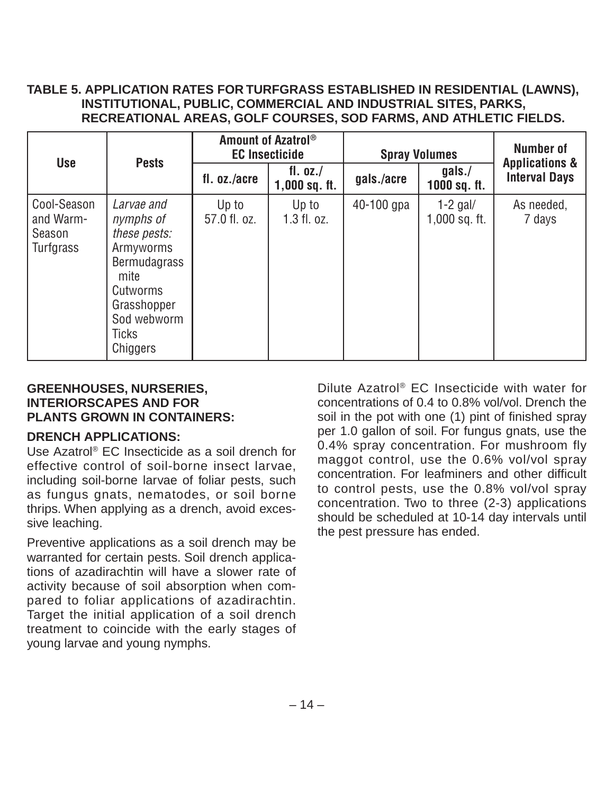#### **TABLE 5. APPLICATION RATES FOR TURFGRASS ESTABLISHED IN RESIDENTIAL (LAWNS), INSTITUTIONAL, PUBLIC, COMMERCIAL AND INDUSTRIAL SITES, PARKS, RECREATIONAL AREAS, GOLF COURSES, SOD FARMS, AND ATHLETIC FIELDS.**

|                                                 |                                                                                                                                                           |                       | Amount of Azatrol®<br><b>EC Insecticide</b> | <b>Spray Volumes</b> |                               | Number of                                         |
|-------------------------------------------------|-----------------------------------------------------------------------------------------------------------------------------------------------------------|-----------------------|---------------------------------------------|----------------------|-------------------------------|---------------------------------------------------|
| <b>Use</b><br><b>Pests</b>                      |                                                                                                                                                           | fl. oz./acre          | fl. $oz./$<br>$1,000$ sq. ft.               | gals./acre           | gals./<br>1000 sq. ft.        | <b>Applications &amp;</b><br><b>Interval Days</b> |
| Cool-Season<br>and Warm-<br>Season<br>Turfgrass | Larvae and<br>nymphs of<br>these pests:<br>Armyworms<br><b>Bermudagrass</b><br>mite<br>Cutworms<br>Grasshopper<br>Sod webworm<br><b>Ticks</b><br>Chiggers | Up to<br>57.0 fl. oz. | Up to<br>$1.3$ fl. oz.                      | $40 - 100$ gpa       | $1-2$ gal/<br>$1,000$ sq. ft. | As needed,<br>7 days                              |

#### **GREENHOUSES, NURSERIES, INTERIORSCAPES AND FOR PLANTS GROWN IN CONTAINERS:**

# **DRENCH APPLICATIONS:**

Use Azatrol® EC Insecticide as a soil drench for effective control of soil-borne insect larvae, including soil-borne larvae of foliar pests, such as fungus gnats, nematodes, or soil borne thrips. When applying as a drench, avoid excessive leaching.

Preventive applications as a soil drench may be warranted for certain pests. Soil drench applications of azadirachtin will have a slower rate of activity because of soil absorption when compared to foliar applications of azadirachtin. Target the initial application of a soil drench treatment to coincide with the early stages of young larvae and young nymphs.

Dilute Azatrol® EC Insecticide with water for concentrations of 0.4 to 0.8% vol/vol. Drench the soil in the pot with one (1) pint of finished spray per 1.0 gallon of soil. For fungus gnats, use the 0.4% spray concentration. For mushroom fly maggot control, use the 0.6% vol/vol spray concentration. For leafminers and other difficult to control pests, use the 0.8% vol/vol spray concentration. Two to three (2-3) applications should be scheduled at 10-14 day intervals until the pest pressure has ended.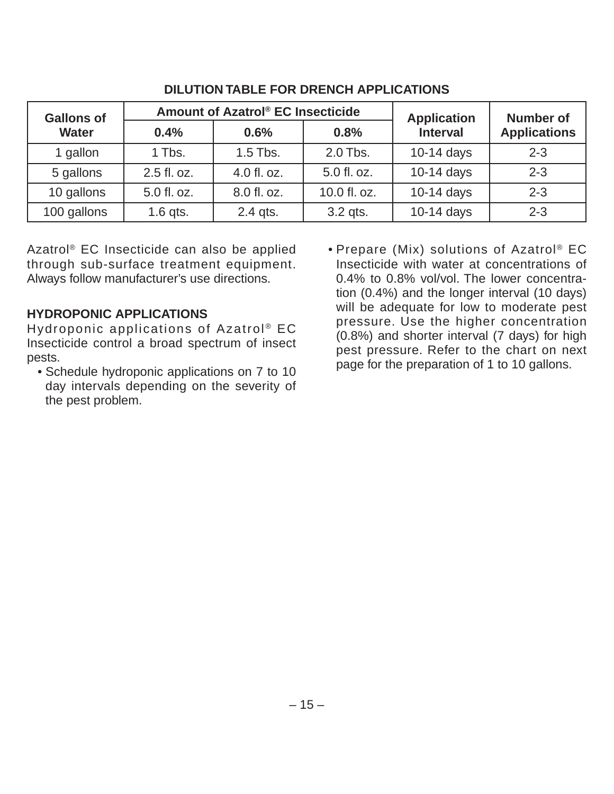| <b>Gallons of</b> |             | Amount of Azatrol® EC Insecticide<br><b>Number of</b><br><b>Application</b> |              |                 |                     |  |
|-------------------|-------------|-----------------------------------------------------------------------------|--------------|-----------------|---------------------|--|
| <b>Water</b>      | 0.4%        | 0.6%                                                                        | 0.8%         | <b>Interval</b> | <b>Applications</b> |  |
| 1 gallon          | 1 Tbs.      | 1.5 Tbs.                                                                    | 2.0 Tbs.     | 10-14 days      | $2 - 3$             |  |
| 5 gallons         | 2.5 fl. oz. | 4.0 fl. oz.                                                                 | 5.0 fl. oz.  | 10-14 days      | $2 - 3$             |  |
| 10 gallons        | 5.0 fl. oz. | 8.0 fl. oz.                                                                 | 10.0 fl. oz. | 10-14 days      | $2 - 3$             |  |
| 100 gallons       | $1.6$ qts.  | $2.4$ qts.                                                                  | 3.2 qts.     | 10-14 days      | $2 - 3$             |  |

# **DILUTION TABLE FOR DRENCH APPLICATIONS**

Azatrol® EC Insecticide can also be applied through sub-surface treatment equipment. Always follow manufacturer's use directions.

# **HYDROPONIC APPLICATIONS**

Hydroponic applications of Azatrol<sup>®</sup> EC Insecticide control a broad spectrum of insect pests.

- Schedule hydroponic applications on 7 to 10 day intervals depending on the severity of the pest problem.
- Prepare (Mix) solutions of Azatrol® EC Insecticide with water at concentrations of 0.4% to 0.8% vol/vol. The lower concentration (0.4%) and the longer interval (10 days) will be adequate for low to moderate pest pressure. Use the higher concentration (0.8%) and shorter interval (7 days) for high pest pressure. Refer to the chart on next page for the preparation of 1 to 10 gallons.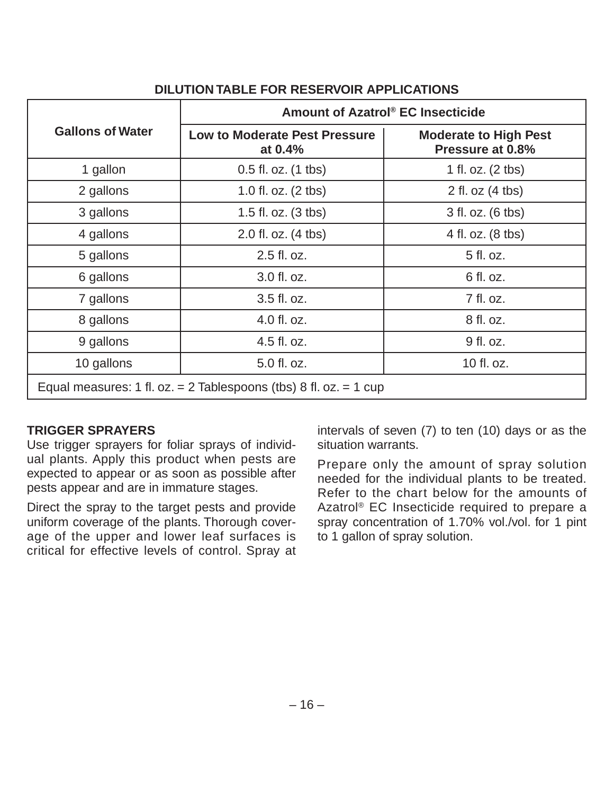# **DILUTION TABLE FOR RESERVOIR APPLICATIONS**

|                                                                   | Amount of Azatrol® EC Insecticide               |                                                  |  |  |  |
|-------------------------------------------------------------------|-------------------------------------------------|--------------------------------------------------|--|--|--|
| <b>Gallons of Water</b>                                           | <b>Low to Moderate Pest Pressure</b><br>at 0.4% | <b>Moderate to High Pest</b><br>Pressure at 0.8% |  |  |  |
| 1 gallon                                                          | 0.5 fl. oz. (1 tbs)                             | 1 fl. oz. (2 tbs)                                |  |  |  |
| 2 gallons                                                         | 1.0 fl. oz. (2 tbs)                             | 2 fl. oz $(4$ tbs)                               |  |  |  |
| 3 gallons                                                         | 1.5 fl. oz. $(3$ tbs)                           | 3 fl. oz. (6 tbs)                                |  |  |  |
| 4 gallons                                                         | 2.0 fl. oz. (4 tbs)                             | 4 fl. oz. (8 tbs)                                |  |  |  |
| 5 gallons                                                         | 2.5 fl. oz.                                     | 5 fl. oz.                                        |  |  |  |
| 6 gallons                                                         | 3.0 fl. oz.                                     | 6 fl. oz.                                        |  |  |  |
| 7 gallons                                                         | $3.5$ fl. oz.                                   | 7 fl. oz.                                        |  |  |  |
| 8 gallons                                                         | 4.0 fl. oz.                                     | 8 fl. oz.                                        |  |  |  |
| 9 gallons                                                         | 4.5 fl. oz.                                     | 9 fl. oz.                                        |  |  |  |
| 10 gallons                                                        | 5.0 fl. oz.                                     | 10 fl. oz.                                       |  |  |  |
| Equal measures: 1 fl. oz. = 2 Tablespoons (tbs) 8 fl. oz. = 1 cup |                                                 |                                                  |  |  |  |

#### **TRIGGER SPRAYERS**

Use trigger sprayers for foliar sprays of individual plants. Apply this product when pests are expected to appear or as soon as possible after pests appear and are in immature stages.

Direct the spray to the target pests and provide uniform coverage of the plants. Thorough coverage of the upper and lower leaf surfaces is critical for effective levels of control. Spray at intervals of seven (7) to ten (10) days or as the situation warrants.

Prepare only the amount of spray solution needed for the individual plants to be treated. Refer to the chart below for the amounts of Azatrol<sup>®</sup> EC Insecticide required to prepare a spray concentration of 1.70% vol./vol. for 1 pint to 1 gallon of spray solution.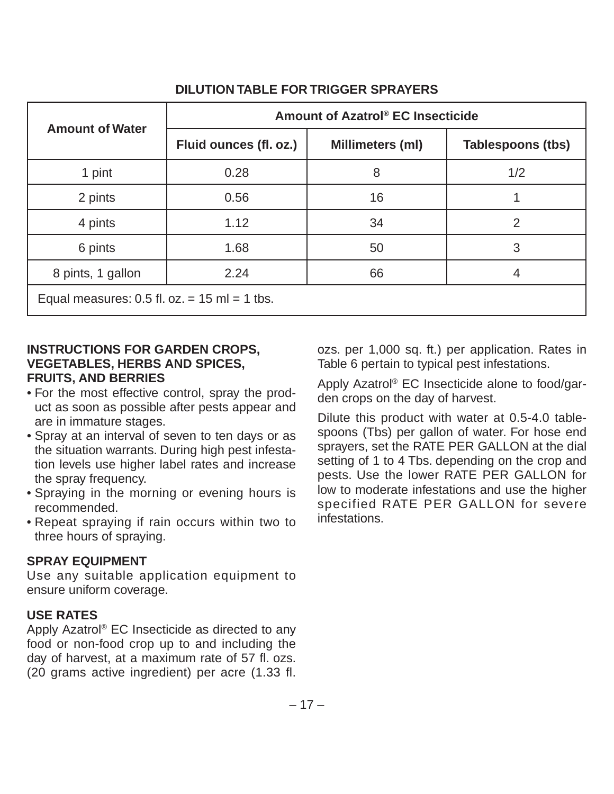| <b>Amount of Water</b>                          | Amount of Azatrol® EC Insecticide |                  |                          |
|-------------------------------------------------|-----------------------------------|------------------|--------------------------|
|                                                 | Fluid ounces (fl. oz.)            | Millimeters (ml) | <b>Tablespoons (tbs)</b> |
| 1 pint                                          | 0.28                              | 8                | 1/2                      |
| 2 pints                                         | 0.56                              | 16               |                          |
| 4 pints                                         | 1.12                              | 34               | 2                        |
| 6 pints                                         | 1.68                              | 50               | 3                        |
| 8 pints, 1 gallon                               | 2.24                              | 66               | 4                        |
| Equal measures: $0.5$ fl. $oz = 15$ ml = 1 tbs. |                                   |                  |                          |

# **DILUTION TABLE FOR TRIGGER SPRAYERS**

#### **INSTRUCTIONS FOR GARDEN CROPS, VEGETABLES, HERBS AND SPICES, FRUITS, AND BERRIES**

- For the most effective control, spray the product as soon as possible after pests appear and are in immature stages.
- Spray at an interval of seven to ten days or as the situation warrants. During high pest infestation levels use higher label rates and increase the spray frequency.
- Spraying in the morning or evening hours is recommended.
- Repeat spraying if rain occurs within two to three hours of spraying.

# **SPRAY EQUIPMENT**

Use any suitable application equipment to ensure uniform coverage.

# **USE RATES**

Apply Azatrol® EC Insecticide as directed to any food or non-food crop up to and including the day of harvest, at a maximum rate of 57 fl. ozs. (20 grams active ingredient) per acre (1.33 fl.

ozs. per 1,000 sq. ft.) per application. Rates in Table 6 pertain to typical pest infestations.

Apply Azatrol® EC Insecticide alone to food/garden crops on the day of harvest.

Dilute this product with water at 0.5-4.0 tablespoons (Tbs) per gallon of water. For hose end sprayers, set the RATE PER GALLON at the dial setting of 1 to 4 Tbs. depending on the crop and pests. Use the lower RATE PER GALLON for low to moderate infestations and use the higher specified RATE PER GALLON for severe infestations.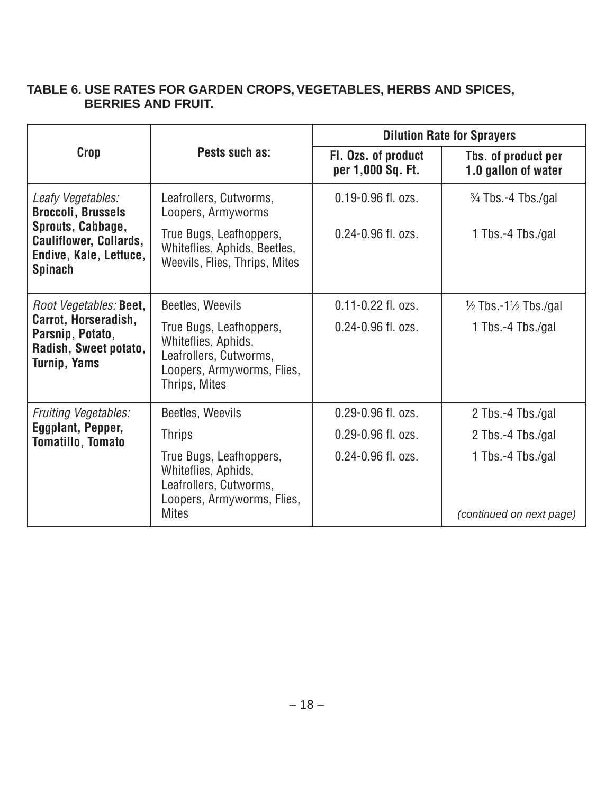## **TABLE 6. USE RATES FOR GARDEN CROPS, VEGETABLES, HERBS AND SPICES, BERRIES AND FRUIT.**

|                                                                                                                                                  | Pests such as:                                                                                                          | <b>Dilution Rate for Sprayers</b>        |                                               |
|--------------------------------------------------------------------------------------------------------------------------------------------------|-------------------------------------------------------------------------------------------------------------------------|------------------------------------------|-----------------------------------------------|
| <b>Crop</b>                                                                                                                                      |                                                                                                                         | Fl. Ozs. of product<br>per 1,000 Sq. Ft. | Tbs. of product per<br>1.0 gallon of water    |
| Leafy Vegetables:<br><b>Broccoli, Brussels</b><br>Sprouts, Cabbage,<br><b>Cauliflower, Collards,</b><br>Endive, Kale, Lettuce,<br><b>Spinach</b> | Leafrollers, Cutworms,<br>Loopers, Armyworms                                                                            | 0.19-0.96 fl. ozs.                       | $\frac{3}{4}$ Tbs.-4 Tbs./gal                 |
|                                                                                                                                                  | True Bugs, Leafhoppers,<br>Whiteflies, Aphids, Beetles,<br>Weevils, Flies, Thrips, Mites                                | 0.24-0.96 fl. ozs.                       | 1 Tbs.-4 Tbs./gal                             |
| Root Vegetables: <b>Beet</b> ,<br>Carrot, Horseradish,<br>Parsnip, Potato,<br>Radish, Sweet potato,<br><b>Turnip, Yams</b>                       | Beetles, Weevils                                                                                                        | $0.11 - 0.22$ fl. ozs.                   | $\frac{1}{2}$ Tbs.-1 $\frac{1}{2}$ Tbs./gal   |
|                                                                                                                                                  | True Bugs, Leafhoppers,<br>Whiteflies, Aphids,<br>Leafrollers, Cutworms,<br>Loopers, Armyworms, Flies,<br>Thrips, Mites | 0.24-0.96 fl. ozs.                       | 1 Tbs.-4 Tbs./gal                             |
| <b>Fruiting Vegetables:</b><br>Eggplant, Pepper,<br><b>Tomatillo, Tomato</b>                                                                     | Beetles, Weevils                                                                                                        | 0.29-0.96 fl. ozs.                       | 2 Tbs.-4 Tbs./gal                             |
|                                                                                                                                                  | <b>Thrips</b>                                                                                                           | 0.29-0.96 fl. ozs.                       | 2 Tbs.-4 Tbs./gal                             |
|                                                                                                                                                  | True Bugs, Leafhoppers,<br>Whiteflies, Aphids,<br>Leafrollers, Cutworms,<br>Loopers, Armyworms, Flies,<br><b>Mites</b>  | 0.24-0.96 fl. ozs.                       | 1 Tbs.-4 Tbs./gal<br>(continued on next page) |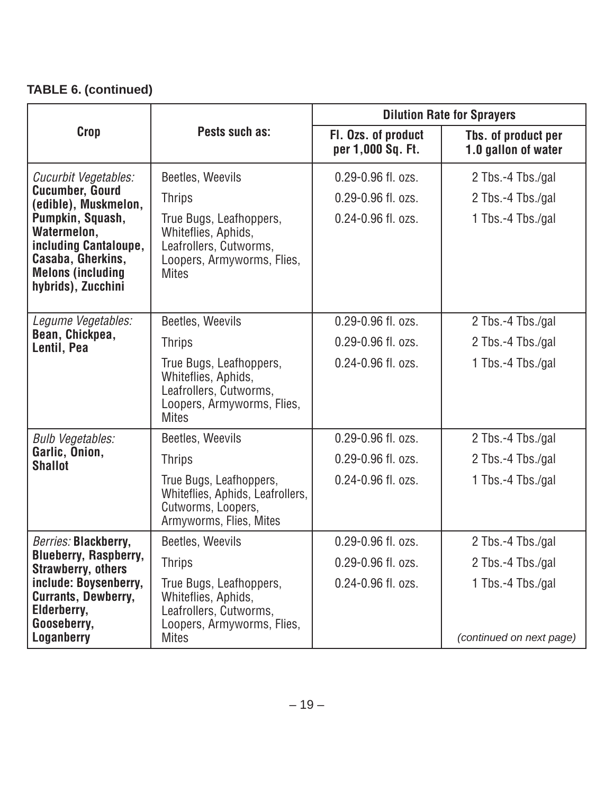# **TABLE 6. (continued)**

| Crop                                                                                                                                                         | Pests such as:                                                                                                         | <b>Dilution Rate for Sprayers</b>        |                                               |
|--------------------------------------------------------------------------------------------------------------------------------------------------------------|------------------------------------------------------------------------------------------------------------------------|------------------------------------------|-----------------------------------------------|
|                                                                                                                                                              |                                                                                                                        | Fl. Ozs. of product<br>per 1,000 Sq. Ft. | Tbs. of product per<br>1.0 gallon of water    |
| Cucurbit Vegetables:                                                                                                                                         | Beetles, Weevils                                                                                                       | 0.29-0.96 fl. ozs.                       | 2 Tbs.-4 Tbs./gal                             |
| <b>Cucumber, Gourd</b><br>(edible), Muskmelon,                                                                                                               | <b>Thrips</b>                                                                                                          | 0.29-0.96 fl. ozs.                       | 2 Tbs.-4 Tbs./gal                             |
| Pumpkin, Squash,<br>Watermelon,<br>including Cantaloupe,<br>Casaba, Gherkins,<br><b>Melons (including</b><br>hybrids), Zucchini                              | True Bugs, Leafhoppers,<br>Whiteflies, Aphids,<br>Leafrollers, Cutworms,<br>Loopers, Armyworms, Flies,<br><b>Mites</b> | 0.24-0.96 fl. ozs.                       | 1 Tbs.-4 Tbs./gal                             |
| Legume Vegetables:<br>Bean, Chickpea,<br>Lentil, Pea                                                                                                         | Beetles, Weevils                                                                                                       | 0.29-0.96 fl. ozs.                       | 2 Tbs.-4 Tbs./gal                             |
|                                                                                                                                                              | <b>Thrips</b>                                                                                                          | 0.29-0.96 fl. ozs.                       | 2 Tbs.-4 Tbs./gal                             |
|                                                                                                                                                              | True Bugs, Leafhoppers,<br>Whiteflies, Aphids,<br>Leafrollers, Cutworms,<br>Loopers, Armyworms, Flies,<br><b>Mites</b> | 0.24-0.96 fl. ozs.                       | 1 Tbs.-4 Tbs./gal                             |
| <b>Bulb Vegetables:</b>                                                                                                                                      | Beetles, Weevils                                                                                                       | 0.29-0.96 fl. ozs.                       | 2 Tbs.-4 Tbs./gal                             |
| Garlic, Onion,<br><b>Shallot</b>                                                                                                                             | <b>Thrips</b>                                                                                                          | 0.29-0.96 fl. ozs.                       | 2 Tbs.-4 Tbs./gal                             |
|                                                                                                                                                              | True Bugs, Leafhoppers,<br>Whiteflies, Aphids, Leafrollers,<br>Cutworms, Loopers,<br>Armyworms, Flies, Mites           | 0.24-0.96 fl. ozs.                       | 1 Tbs.-4 Tbs./gal                             |
| Berries: Blackberry,                                                                                                                                         | Beetles, Weevils                                                                                                       | 0.29-0.96 fl. ozs.                       | 2 Tbs.-4 Tbs./gal                             |
| <b>Blueberry, Raspberry,</b><br><b>Strawberry, others</b><br>include: Boysenberry,<br><b>Currants, Dewberry,</b><br>Elderberry,<br>Gooseberry,<br>Loganberry | <b>Thrips</b>                                                                                                          | 0.29-0.96 fl. ozs.                       | 2 Tbs.-4 Tbs./gal                             |
|                                                                                                                                                              | True Bugs, Leafhoppers,<br>Whiteflies, Aphids,<br>Leafrollers, Cutworms,<br>Loopers, Armyworms, Flies,<br><b>Mites</b> | 0.24-0.96 fl. ozs.                       | 1 Tbs.-4 Tbs./gal<br>(continued on next page) |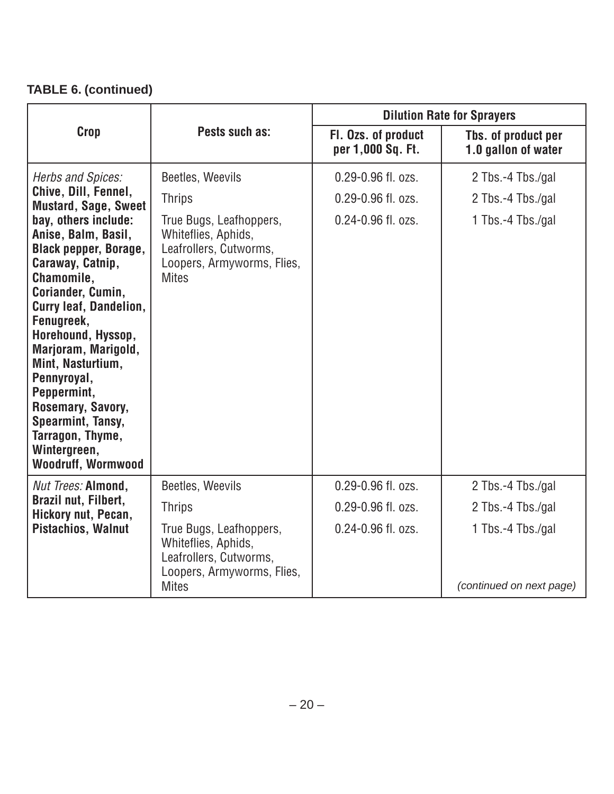# **TABLE 6. (continued)**

|                                                                                                                                                                                                                                                                                                                                                                                                | Pests such as:                                                                                                         | <b>Dilution Rate for Sprayers</b>        |                                               |
|------------------------------------------------------------------------------------------------------------------------------------------------------------------------------------------------------------------------------------------------------------------------------------------------------------------------------------------------------------------------------------------------|------------------------------------------------------------------------------------------------------------------------|------------------------------------------|-----------------------------------------------|
| Crop                                                                                                                                                                                                                                                                                                                                                                                           |                                                                                                                        | Fl. Ozs. of product<br>per 1,000 Sq. Ft. | Tbs. of product per<br>1.0 gallon of water    |
| Herbs and Spices:                                                                                                                                                                                                                                                                                                                                                                              | Beetles, Weevils                                                                                                       | 0.29-0.96 fl. ozs.                       | 2 Tbs.-4 Tbs./gal                             |
| Chive, Dill, Fennel,                                                                                                                                                                                                                                                                                                                                                                           | <b>Thrips</b>                                                                                                          | 0.29-0.96 fl. ozs.                       | 2 Tbs.-4 Tbs./gal                             |
| <b>Mustard, Sage, Sweet</b><br>bay, others include:<br>Anise, Balm, Basil,<br><b>Black pepper, Borage,</b><br>Caraway, Catnip,<br>Chamomile,<br>Coriander, Cumin,<br><b>Curry leaf, Dandelion,</b><br>Fenugreek,<br>Horehound, Hyssop,<br>Marjoram, Marigold,<br>Mint, Nasturtium,<br>Pennyroyal,<br>Peppermint,<br>Rosemary, Savory,<br>Spearmint, Tansy,<br>Tarragon, Thyme,<br>Wintergreen, | True Bugs, Leafhoppers,<br>Whiteflies, Aphids,<br>Leafrollers, Cutworms,<br>Loopers, Armyworms, Flies,<br><b>Mites</b> | 0.24-0.96 fl. ozs.                       | 1 Tbs.-4 Tbs./gal                             |
| Woodruff, Wormwood<br>Nut Trees: Almond,<br>Brazil nut, Filbert,<br>Hickory nut, Pecan,<br><b>Pistachios, Walnut</b>                                                                                                                                                                                                                                                                           | Beetles, Weevils                                                                                                       | 0.29-0.96 fl. ozs.                       | 2 Tbs.-4 Tbs./gal                             |
|                                                                                                                                                                                                                                                                                                                                                                                                | <b>Thrips</b>                                                                                                          | 0.29-0.96 fl. ozs.                       | 2 Tbs.-4 Tbs./gal                             |
|                                                                                                                                                                                                                                                                                                                                                                                                | True Bugs, Leafhoppers,<br>Whiteflies, Aphids,<br>Leafrollers, Cutworms,<br>Loopers, Armyworms, Flies,<br><b>Mites</b> | 0.24-0.96 fl. ozs.                       | 1 Tbs.-4 Tbs./gal<br>(continued on next page) |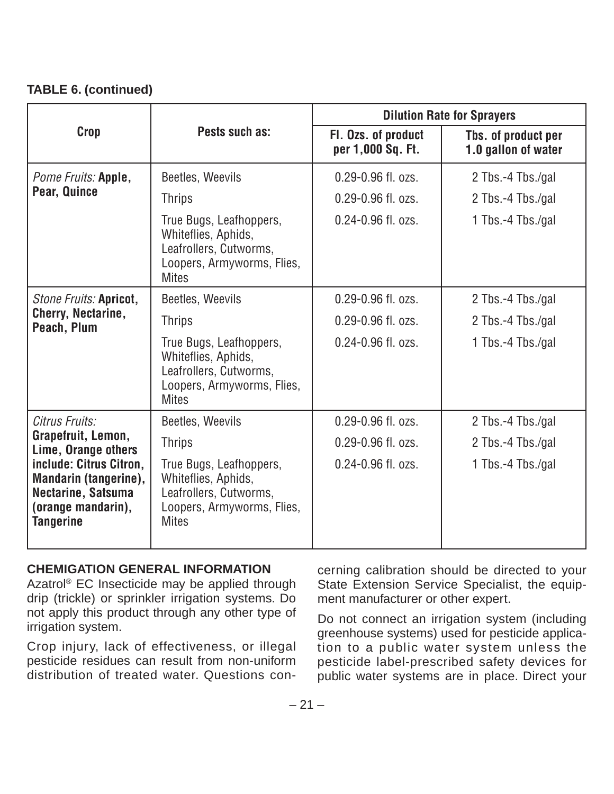# **TABLE 6. (continued)**

|                                                                                                                                                                                 | Pests such as:                                                                                                         | <b>Dilution Rate for Sprayers</b>        |                                            |
|---------------------------------------------------------------------------------------------------------------------------------------------------------------------------------|------------------------------------------------------------------------------------------------------------------------|------------------------------------------|--------------------------------------------|
| Crop                                                                                                                                                                            |                                                                                                                        | Fl. Ozs. of product<br>per 1,000 Sq. Ft. | Tbs. of product per<br>1.0 gallon of water |
| Pome Fruits: Apple,<br>Pear, Quince                                                                                                                                             | Beetles, Weevils                                                                                                       | 0.29-0.96 fl. ozs.                       | 2 Tbs.-4 Tbs./gal                          |
|                                                                                                                                                                                 | <b>Thrips</b>                                                                                                          | 0.29-0.96 fl. ozs.                       | 2 Tbs.-4 Tbs./gal                          |
|                                                                                                                                                                                 | True Bugs, Leafhoppers,<br>Whiteflies, Aphids,<br>Leafrollers, Cutworms,<br>Loopers, Armyworms, Flies,<br><b>Mites</b> | 0.24-0.96 fl. ozs.                       | 1 Tbs.-4 Tbs./gal                          |
| <b>Stone Fruits: Apricot,</b><br>Cherry, Nectarine,<br>Peach, Plum                                                                                                              | Beetles, Weevils                                                                                                       | 0.29-0.96 fl. ozs.                       | 2 Tbs.-4 Tbs./gal                          |
|                                                                                                                                                                                 | <b>Thrips</b>                                                                                                          | 0.29-0.96 fl. ozs.                       | 2 Tbs.-4 Tbs./gal                          |
|                                                                                                                                                                                 | True Bugs, Leafhoppers,<br>Whiteflies, Aphids,<br>Leafrollers, Cutworms,<br>Loopers, Armyworms, Flies,<br><b>Mites</b> | 0.24-0.96 fl. ozs.                       | 1 Tbs.-4 Tbs./gal                          |
| Citrus Fruits:<br>Grapefruit, Lemon,<br>Lime, Orange others<br>include: Citrus Citron,<br>Mandarin (tangerine),<br>Nectarine, Satsuma<br>(orange mandarin),<br><b>Tangerine</b> | Beetles, Weevils                                                                                                       | 0.29-0.96 fl. ozs.                       | 2 Tbs.-4 Tbs./gal                          |
|                                                                                                                                                                                 | <b>Thrips</b>                                                                                                          | 0.29-0.96 fl. ozs.                       | 2 Tbs.-4 Tbs./gal                          |
|                                                                                                                                                                                 | True Bugs, Leafhoppers,<br>Whiteflies, Aphids,<br>Leafrollers, Cutworms,<br>Loopers, Armyworms, Flies,<br><b>Mites</b> | 0.24-0.96 fl. ozs.                       | 1 Tbs.-4 Tbs./gal                          |

# **CHEMIGATION GENERAL INFORMATION**

Azatrol<sup>®</sup> EC Insecticide may be applied through drip (trickle) or sprinkler irrigation systems. Do not apply this product through any other type of irrigation system.

Crop injury, lack of effectiveness, or illegal pesticide residues can result from non-uniform distribution of treated water. Questions concerning calibration should be directed to your State Extension Service Specialist, the equipment manufacturer or other expert.

Do not connect an irrigation system (including greenhouse systems) used for pesticide application to a public water system unless the pesticide label-prescribed safety devices for public water systems are in place. Direct your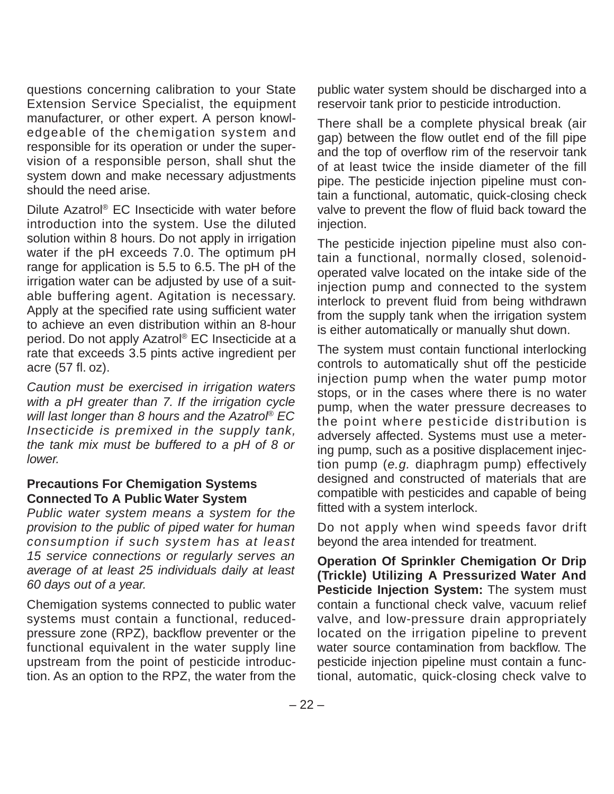questions concerning calibration to your State Extension Service Specialist, the equipment manufacturer, or other expert. A person knowledgeable of the chemigation system and responsible for its operation or under the supervision of a responsible person, shall shut the system down and make necessary adjustments should the need arise.

Dilute Azatrol® EC Insecticide with water before introduction into the system. Use the diluted solution within 8 hours. Do not apply in irrigation water if the pH exceeds 7.0. The optimum pH range for application is 5.5 to 6.5. The pH of the irrigation water can be adjusted by use of a suitable buffering agent. Agitation is necessary. Apply at the specified rate using sufficient water to achieve an even distribution within an 8-hour period. Do not apply Azatrol® EC Insecticide at a rate that exceeds 3.5 pints active ingredient per acre (57 fl. oz).

*Caution must be exercised in irrigation waters with a pH greater than 7. If the irrigation cycle will last longer than 8 hours and the Azatrol® EC Insecticide is premixed in the supply tank, the tank mix must be buffered to a pH of 8 or lower.*

#### **Precautions For Chemigation Systems Connected To A Public Water System**

*Public water system means a system for the provision to the public of piped water for human consumption if such system has at least 15 service connections or regularly serves an average of at least 25 individuals daily at least 60 days out of a year.*

Chemigation systems connected to public water systems must contain a functional, reducedpressure zone (RPZ), backflow preventer or the functional equivalent in the water supply line upstream from the point of pesticide introduction. As an option to the RPZ, the water from the public water system should be discharged into a reservoir tank prior to pesticide introduction.

There shall be a complete physical break (air gap) between the flow outlet end of the fill pipe and the top of overflow rim of the reservoir tank of at least twice the inside diameter of the fill pipe. The pesticide injection pipeline must contain a functional, automatic, quick-closing check valve to prevent the flow of fluid back toward the injection.

The pesticide injection pipeline must also contain a functional, normally closed, solenoidoperated valve located on the intake side of the injection pump and connected to the system interlock to prevent fluid from being withdrawn from the supply tank when the irrigation system is either automatically or manually shut down.

The system must contain functional interlocking controls to automatically shut off the pesticide injection pump when the water pump motor stops, or in the cases where there is no water pump, when the water pressure decreases to the point where pesticide distribution is adversely affected. Systems must use a metering pump, such as a positive displacement injection pump (*e.g.* diaphragm pump) effectively designed and constructed of materials that are compatible with pesticides and capable of being fitted with a system interlock.

Do not apply when wind speeds favor drift beyond the area intended for treatment.

**Operation Of Sprinkler Chemigation Or Drip (Trickle) Utilizing A Pressurized Water And Pesticide Injection System:** The system must contain a functional check valve, vacuum relief valve, and low-pressure drain appropriately located on the irrigation pipeline to prevent water source contamination from backflow. The pesticide injection pipeline must contain a functional, automatic, quick-closing check valve to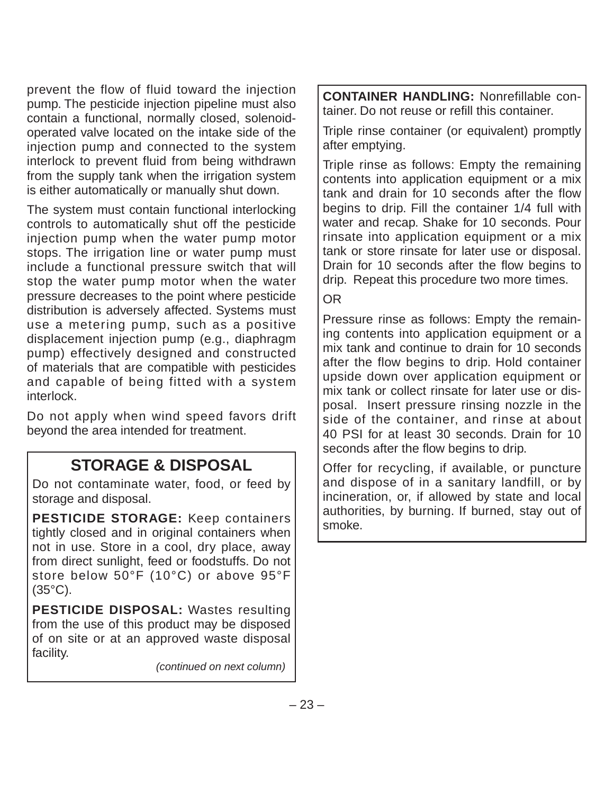prevent the flow of fluid toward the injection pump. The pesticide injection pipeline must also contain a functional, normally closed, solenoidoperated valve located on the intake side of the injection pump and connected to the system interlock to prevent fluid from being withdrawn from the supply tank when the irrigation system is either automatically or manually shut down.

The system must contain functional interlocking controls to automatically shut off the pesticide injection pump when the water pump motor stops. The irrigation line or water pump must include a functional pressure switch that will stop the water pump motor when the water pressure decreases to the point where pesticide distribution is adversely affected. Systems must use a metering pump, such as a positive displacement injection pump (e.g., diaphragm pump) effectively designed and constructed of materials that are compatible with pesticides and capable of being fitted with a system interlock.

Do not apply when wind speed favors drift beyond the area intended for treatment.

# **STORAGE & DISPOSAL**

Do not contaminate water, food, or feed by storage and disposal.

**PESTICIDE STORAGE:** Keep containers tightly closed and in original containers when not in use. Store in a cool, dry place, away from direct sunlight, feed or foodstuffs. Do not store below 50°F (10°C) or above 95°F  $(35^{\circ}C)$ .

**PESTICIDE DISPOSAL:** Wastes resulting from the use of this product may be disposed of on site or at an approved waste disposal facility.

*(continued on next column)*

**CONTAINER HANDLING:** Nonrefillable container. Do not reuse or refill this container.

Triple rinse container (or equivalent) promptly after emptying.

Triple rinse as follows: Empty the remaining contents into application equipment or a mix tank and drain for 10 seconds after the flow begins to drip. Fill the container 1/4 full with water and recap. Shake for 10 seconds. Pour rinsate into application equipment or a mix tank or store rinsate for later use or disposal. Drain for 10 seconds after the flow begins to drip. Repeat this procedure two more times.

## OR

Pressure rinse as follows: Empty the remaining contents into application equipment or a mix tank and continue to drain for 10 seconds after the flow begins to drip. Hold container upside down over application equipment or mix tank or collect rinsate for later use or disposal. Insert pressure rinsing nozzle in the side of the container, and rinse at about 40 PSI for at least 30 seconds. Drain for 10 seconds after the flow begins to drip.

Offer for recycling, if available, or puncture and dispose of in a sanitary landfill, or by incineration, or, if allowed by state and local authorities, by burning. If burned, stay out of smoke.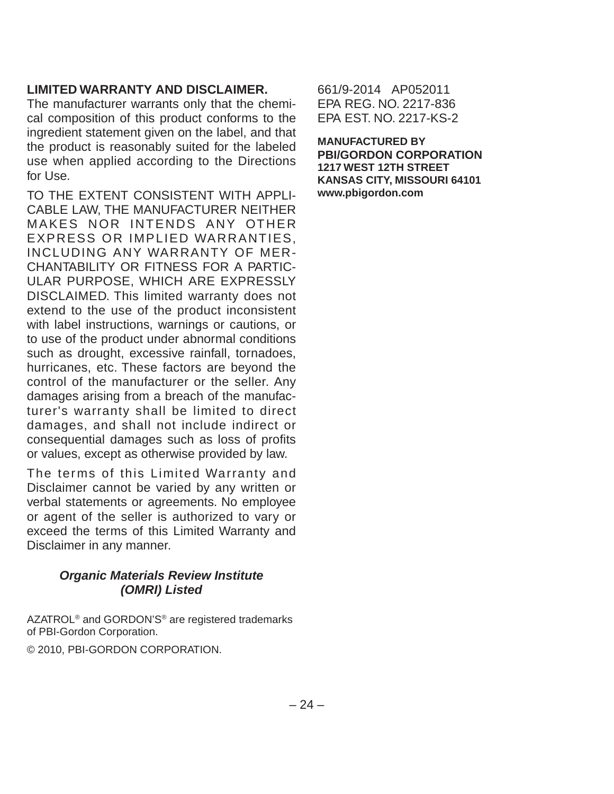#### **LIMITED WARRANTY AND DISCLAIMER.**

The manufacturer warrants only that the chemical composition of this product conforms to the ingredient statement given on the label, and that the product is reasonably suited for the labeled use when applied according to the Directions for Use.

TO THE EXTENT CONSISTENT WITH APPLI-CABLE LAW, THE MANUFACTURER NEITHER MAKES NOR INTENDS ANY OTHER EXPRESS OR IMPLIED WARRANTIES, INCLUDING ANY WARRANTY OF MER-CHANTABILITY OR FITNESS FOR A PARTIC-ULAR PURPOSE, WHICH ARE EXPRESSLY DISCLAIMED. This limited warranty does not extend to the use of the product inconsistent with label instructions, warnings or cautions, or to use of the product under abnormal conditions such as drought, excessive rainfall, tornadoes, hurricanes, etc. These factors are beyond the control of the manufacturer or the seller. Any damages arising from a breach of the manufacturer's warranty shall be limited to direct damages, and shall not include indirect or consequential damages such as loss of profits or values, except as otherwise provided by law.

The terms of this Limited Warranty and Disclaimer cannot be varied by any written or verbal statements or agreements. No employee or agent of the seller is authorized to vary or exceed the terms of this Limited Warranty and Disclaimer in any manner.

## *Organic Materials Review Institute (OMRI) Listed*

AZATROL<sup>®</sup> and GORDON'S<sup>®</sup> are registered trademarks of PBI-Gordon Corporation.

© 2010, PBI-GORDON CORPORATION.

661/9-2014 AP052011 EPA REG. NO. 2217-836 EPA EST. NO. 2217-KS-2

**MANUFACTURED BY PBI/GORDON CORPORATION 1217 WEST 12TH STREET KANSAS CITY, MISSOURI 64101 www.pbigordon.com**